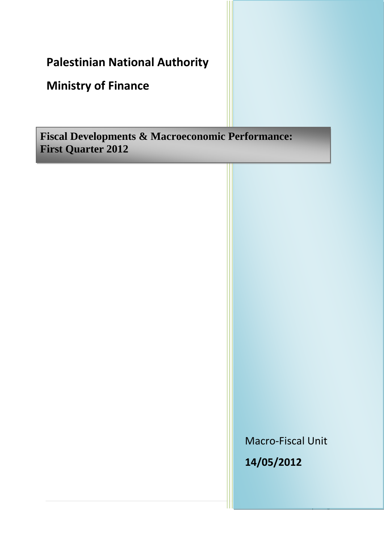# **Palestinian National Authority**

## **Ministry of Finance**

**Fiscal Developments & Macroeconomic Performance: First Quarter 2012**

> Macro-Fiscal Unit **14/05/2012**

> > 1 | P a g e a g e a g e a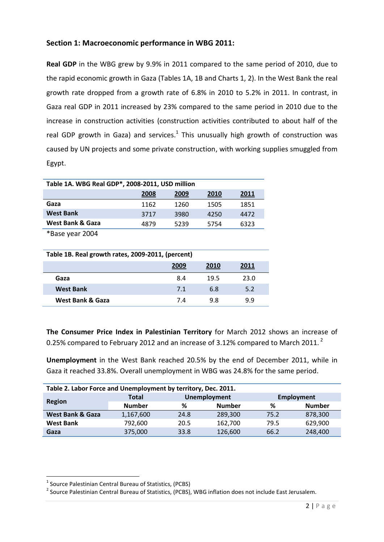## **Section 1: Macroeconomic performance in WBG 2011:**

**Real GDP** in the WBG grew by 9.9% in 2011 compared to the same period of 2010, due to the rapid economic growth in Gaza (Tables 1A, 1B and Charts 1, 2). In the West Bank the real growth rate dropped from a growth rate of 6.8% in 2010 to 5.2% in 2011. In contrast, in Gaza real GDP in 2011 increased by 23% compared to the same period in 2010 due to the increase in construction activities (construction activities contributed to about half of the real GDP growth in Gaza) and services. $<sup>1</sup>$  This unusually high growth of construction was</sup> caused by UN projects and some private construction, with working supplies smuggled from Egypt.

| Table 1A. WBG Real GDP*, 2008-2011, USD million |      |      |      |      |  |  |  |
|-------------------------------------------------|------|------|------|------|--|--|--|
|                                                 | 2008 | 2009 | 2010 | 2011 |  |  |  |
| Gaza                                            | 1162 | 1260 | 1505 | 1851 |  |  |  |
| <b>West Bank</b>                                | 3717 | 3980 | 4250 | 4472 |  |  |  |
| West Bank & Gaza                                | 4879 | 5239 | 5754 | 6323 |  |  |  |
| $\sqrt{2}$                                      |      |      |      |      |  |  |  |

\*Base year 2004

| Table 1B. Real growth rates, 2009-2011, (percent) |      |      |      |  |  |
|---------------------------------------------------|------|------|------|--|--|
|                                                   | 2009 | 2010 | 2011 |  |  |
| Gaza                                              | 8.4  | 19.5 | 23.0 |  |  |
| <b>West Bank</b>                                  | 7.1  | 6.8  | 5.2  |  |  |
| West Bank & Gaza                                  | 7.4  | 9.8  | 9.9  |  |  |

**The Consumer Price Index in Palestinian Territory** for March 2012 shows an increase of 0.25% compared to February 2012 and an increase of 3.12% compared to March 2011. $^2$ 

**Unemployment** in the West Bank reached 20.5% by the end of December 2011, while in Gaza it reached 33.8%. Overall unemployment in WBG was 24.8% for the same period.

| Table 2. Labor Force and Unemployment by territory, Dec. 2011. |                    |              |         |      |                   |  |  |
|----------------------------------------------------------------|--------------------|--------------|---------|------|-------------------|--|--|
|                                                                | <b>Total</b>       | Unemployment |         |      | <b>Employment</b> |  |  |
| <b>Region</b>                                                  | <b>Number</b><br>% |              |         | %    | <b>Number</b>     |  |  |
| <b>West Bank &amp; Gaza</b>                                    | 1,167,600          | 24.8         | 289,300 | 75.2 | 878,300           |  |  |
| <b>West Bank</b>                                               | 792,600            | 20.5         | 162,700 | 79.5 | 629,900           |  |  |
| Gaza                                                           | 375,000            | 33.8         | 126,600 | 66.2 | 248,400           |  |  |

 $\overline{a}$ 

<sup>&</sup>lt;sup>1</sup> Source Palestinian Central Bureau of Statistics, (PCBS)

<sup>&</sup>lt;sup>2</sup> Source Palestinian Central Bureau of Statistics, (PCBS), WBG inflation does not include East Jerusalem.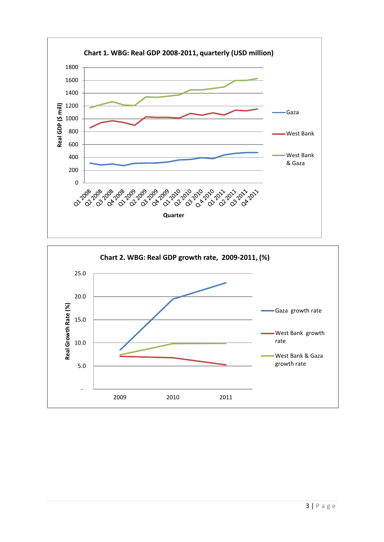

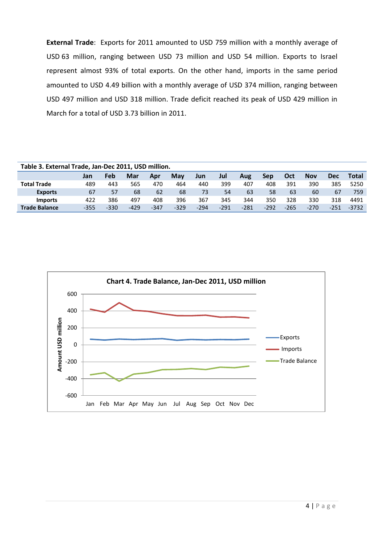**External Trade**: Exports for 2011 amounted to USD 759 million with a monthly average of USD 63 million, ranging between USD 73 million and USD 54 million. Exports to Israel represent almost 93% of total exports. On the other hand, imports in the same period amounted to USD 4.49 billion with a monthly average of USD 374 million, ranging between USD 497 million and USD 318 million. Trade deficit reached its peak of USD 429 million in March for a total of USD 3.73 billion in 2011.

| Table 3. External Trade, Jan-Dec 2011, USD million. |        |        |        |        |        |        |        |        |        |        |            |        |              |
|-----------------------------------------------------|--------|--------|--------|--------|--------|--------|--------|--------|--------|--------|------------|--------|--------------|
|                                                     | Jan    | Feb    | Mar    | Apr    | May    | Jun    | Jul    | Aug    | Sep    | Oct    | <b>Nov</b> | Dec    | <b>Total</b> |
| <b>Total Trade</b>                                  | 489    | 443    | 565    | 470    | 464    | 440    | 399    | 407    | 408    | 391    | 390        | 385    | 5250         |
| <b>Exports</b>                                      | 67     | 57     | 68     | 62     | 68     | 73     | 54     | 63     | 58     | 63     | 60         | 67     | 759          |
| <b>Imports</b>                                      | 422    | 386    | 497    | 408    | 396    | 367    | 345    | 344    | 350    | 328    | 330        | 318    | 4491         |
| <b>Trade Balance</b>                                | $-355$ | $-330$ | $-429$ | $-347$ | $-329$ | $-294$ | $-291$ | $-281$ | $-292$ | $-265$ | $-270$     | $-251$ | $-3732$      |

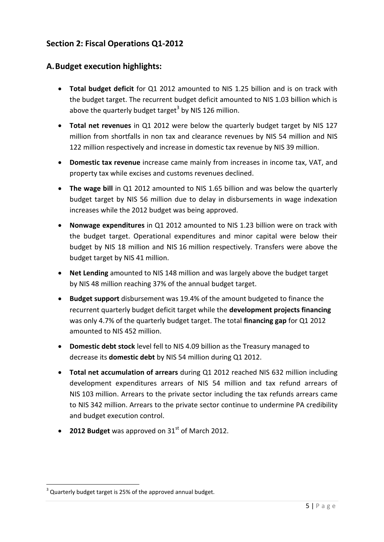## **Section 2: Fiscal Operations Q1-2012**

## **A.Budget execution highlights:**

- **Total budget deficit** for Q1 2012 amounted to NIS 1.25 billion and is on track with the budget target. The recurrent budget deficit amounted to NIS 1.03 billion which is above the quarterly budget target<sup>3</sup> by NIS 126 million.
- **Total net revenues** in Q1 2012 were below the quarterly budget target by NIS 127 million from shortfalls in non tax and clearance revenues by NIS 54 million and NIS 122 million respectively and increase in domestic tax revenue by NIS 39 million.
- **Domestic tax revenue** increase came mainly from increases in income tax, VAT, and property tax while excises and customs revenues declined.
- **The wage bill** in Q1 2012 amounted to NIS 1.65 billion and was below the quarterly budget target by NIS 56 million due to delay in disbursements in wage indexation increases while the 2012 budget was being approved.
- **Nonwage expenditures** in Q1 2012 amounted to NIS 1.23 billion were on track with the budget target. Operational expenditures and minor capital were below their budget by NIS 18 million and NIS 16 million respectively. Transfers were above the budget target by NIS 41 million.
- **Net Lending** amounted to NIS 148 million and was largely above the budget target by NIS 48 million reaching 37% of the annual budget target.
- **Budget support** disbursement was 19.4% of the amount budgeted to finance the recurrent quarterly budget deficit target while the **development projects financing** was only 4.7% of the quarterly budget target. The total **financing gap** for Q1 2012 amounted to NIS 452 million.
- **Domestic debt stock** level fell to NIS 4.09 billion as the Treasury managed to decrease its **domestic debt** by NIS 54 million during Q1 2012.
- **Total net accumulation of arrears** during Q1 2012 reached NIS 632 million including development expenditures arrears of NIS 54 million and tax refund arrears of NIS 103 million. Arrears to the private sector including the tax refunds arrears came to NIS 342 million. Arrears to the private sector continue to undermine PA credibility and budget execution control.
- **2012 Budget** was approved on 31<sup>st</sup> of March 2012.

**.** 

 $3$  Quarterly budget target is 25% of the approved annual budget.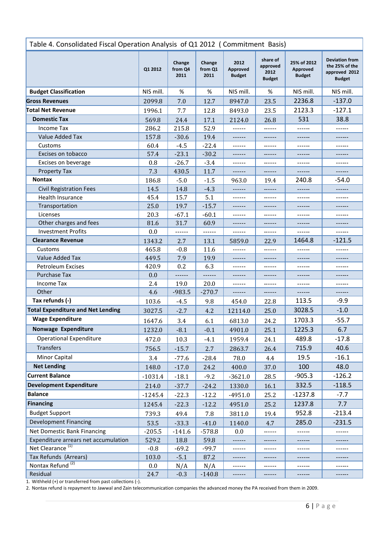| Table 4. Consolidated Fiscal Operation Analysis of Q1 2012 (Commitment Basis) |           |                           |                           |                                   |                                               |                                          |                                                                           |
|-------------------------------------------------------------------------------|-----------|---------------------------|---------------------------|-----------------------------------|-----------------------------------------------|------------------------------------------|---------------------------------------------------------------------------|
|                                                                               | Q1 2012   | Change<br>from Q4<br>2011 | Change<br>from Q1<br>2011 | 2012<br>Approved<br><b>Budget</b> | share of<br>approved<br>2012<br><b>Budget</b> | 25% of 2012<br>Approved<br><b>Budget</b> | <b>Deviation from</b><br>the 25% of the<br>approved 2012<br><b>Budget</b> |
| <b>Budget Classification</b>                                                  | NIS mill. | %                         | %                         | NIS mill.                         | %                                             | NIS mill.                                | NIS mill.                                                                 |
| <b>Gross Revenues</b>                                                         | 2099.8    | 7.0                       | 12.7                      | 8947.0                            | 23.5                                          | 2236.8                                   | $-137.0$                                                                  |
| <b>Total Net Revenue</b>                                                      | 1996.1    | 7.7                       | 12.8                      | 8493.0                            | 23.5                                          | 2123.3                                   | $-127.1$                                                                  |
| <b>Domestic Tax</b>                                                           | 569.8     | 24.4                      | 17.1                      | 2124.0                            | 26.8                                          | 531                                      | 38.8                                                                      |
| <b>Income Tax</b>                                                             | 286.2     | 215.8                     | 52.9                      | ------                            | ------                                        | ------                                   | ------                                                                    |
| Value Added Tax                                                               | 157.8     | $-30.6$                   | 19.4                      | ------                            | ------                                        | ------                                   | ------                                                                    |
| Customs                                                                       | 60.4      | $-4.5$                    | $-22.4$                   | ------                            | ------                                        | ------                                   | ------                                                                    |
| Excises on tobacco                                                            | 57.4      | $-23.1$                   | $-30.2$                   | ------                            | ------                                        | ------                                   | ------                                                                    |
| Excises on beverage                                                           | 0.8       | $-26.7$                   | $-3.4$                    | ------                            | ------                                        | ------                                   | ------                                                                    |
| <b>Property Tax</b>                                                           | 7.3       | 430.5                     | 11.7                      | ------                            | ------                                        | ------                                   | ------                                                                    |
| <b>Nontax</b>                                                                 | 186.8     | $-5.0$                    | $-1.5$                    | 963.0                             | 19.4                                          | 240.8                                    | $-54.0$                                                                   |
| <b>Civil Registration Fees</b>                                                | 14.5      | 14.8                      | $-4.3$                    | ------                            | ------                                        | ------                                   | ------                                                                    |
| <b>Health Insurance</b>                                                       | 45.4      | 15.7                      | 5.1                       | ------                            | ------                                        | ------                                   |                                                                           |
| Transportation                                                                | 25.0      | 19.7                      | $-15.7$                   | ------                            | ------                                        | ------                                   |                                                                           |
| Licenses                                                                      | 20.3      | $-67.1$                   | $-60.1$                   | ------                            | ------                                        | ------                                   | ------                                                                    |
| Other charges and fees                                                        | 81.6      | 31.7                      | 60.9                      | ------                            | ------                                        | ------                                   | ------                                                                    |
| <b>Investment Profits</b>                                                     | 0.0       | ------                    | ------                    | ------                            | ------                                        | ------                                   | ------                                                                    |
| <b>Clearance Revenue</b>                                                      | 1343.2    | 2.7                       | 13.1                      | 5859.0                            | 22.9                                          | 1464.8                                   | $-121.5$                                                                  |
| Customs                                                                       | 465.8     | $-0.8$                    | 11.6                      | ------                            | ------                                        | ------                                   | ------                                                                    |
| Value Added Tax                                                               | 449.5     | 7.9                       | 19.9                      | ------                            | ------                                        | ------                                   | ------                                                                    |
| <b>Petroleum Excises</b>                                                      | 420.9     | 0.2                       | 6.3                       | ------                            | ------                                        | ------                                   | ------                                                                    |
| <b>Purchase Tax</b>                                                           | 0.0       | ------                    | ------                    | ------                            | ------                                        | ------                                   |                                                                           |
| <b>Income Tax</b>                                                             | 2.4       | 19.0                      | 20.0                      | ------                            | ------                                        | ------                                   | ------                                                                    |
| Other                                                                         | 4.6       | $-983.5$                  | $-270.7$                  |                                   |                                               |                                          |                                                                           |
| Tax refunds (-)                                                               | 103.6     | $-4.5$                    | 9.8                       | 454.0                             | 22.8                                          | 113.5                                    | $-9.9$                                                                    |
| <b>Total Expenditure and Net Lending</b>                                      | 3027.5    | $-2.7$                    | 4.2                       | 12114.0                           | 25.0                                          | 3028.5                                   | $-1.0$                                                                    |
| <b>Wage Expenditure</b>                                                       | 1647.6    | 3.4                       | 6.1                       | 6813.0                            | 24.2                                          | 1703.3                                   | $-55.7$                                                                   |
| Nonwage Expenditure                                                           | 1232.0    | $-8.1$                    | $-0.1$                    | 4901.0                            | 25.1                                          | 1225.3                                   | 6.7                                                                       |
| <b>Operational Expenditure</b>                                                | 472.0     | 10.3                      | $-4.1$                    | 1959.4                            | 24.1                                          | 489.8                                    | $-17.8$                                                                   |
| <b>Transfers</b>                                                              | 756.5     | $-15.7$                   | 2.7                       | 2863.7                            | 26.4                                          | 715.9                                    | 40.6                                                                      |
| Minor Capital                                                                 | 3.4       | $-77.6$                   | $-28.4$                   | 78.0                              | 4.4                                           | 19.5                                     | $-16.1$                                                                   |
| <b>Net Lending</b>                                                            | 148.0     | $-17.0$                   | 24.2                      | 400.0                             | 37.0                                          | 100                                      | 48.0                                                                      |
| <b>Current Balance</b>                                                        |           |                           |                           |                                   | 28.5                                          | $-905.3$                                 | $-126.2$                                                                  |
| <b>Development Expenditure</b>                                                | $-1031.4$ | $-18.1$                   | $-9.2$                    | $-3621.0$                         |                                               | 332.5                                    | $-118.5$                                                                  |
| <b>Balance</b>                                                                | 214.0     | $-37.7$                   | $-24.2$                   | 1330.0                            | 16.1                                          |                                          |                                                                           |
|                                                                               | $-1245.4$ | $-22.3$                   | $-12.2$                   | $-4951.0$                         | 25.2                                          | $-1237.8$                                | $-7.7$                                                                    |
| <b>Financing</b>                                                              | 1245.4    | $-22.3$                   | $-12.2$                   | 4951.0                            | 25.2                                          | 1237.8                                   | 7.7                                                                       |
| <b>Budget Support</b>                                                         | 739.3     | 49.4                      | 7.8                       | 3811.0                            | 19.4                                          | 952.8                                    | $-213.4$                                                                  |
| <b>Development Financing</b>                                                  | 53.5      | $-33.3$                   | $-41.0$                   | 1140.0                            | 4.7                                           | 285.0                                    | $-231.5$                                                                  |
| Net Domestic Bank Financing                                                   | $-205.5$  | $-141.6$                  | $-578.8$                  | 0.0                               | ------                                        | ------                                   | ------                                                                    |
| Expenditure arrears net accumulation                                          | 529.2     | 18.8                      | 59.8                      | ------                            | ------                                        | ------                                   | ------                                                                    |
| Net Clearance <sup>(1)</sup>                                                  | $-0.8$    | $-69.2$                   | $-99.7$                   | ------                            |                                               | ------                                   |                                                                           |
| Tax Refunds (Arrears)                                                         | 103.0     | $-5.1$                    | 87.2                      | ------                            | ------                                        | ------                                   |                                                                           |
| Nontax Refund <sup>(2)</sup>                                                  | 0.0       | N/A                       | N/A                       | ------                            |                                               | ------                                   | ------                                                                    |
| Residual                                                                      | 24.7      | $-0.3$                    | $-140.8$                  | ------                            | ------                                        | ------                                   | ------                                                                    |

1. Withheld (+) or transferred from past collections (-).

2. Nontax refund is repayment to Jawwal and Zain telecommunication companies the advanced money the PA received from them in 2009.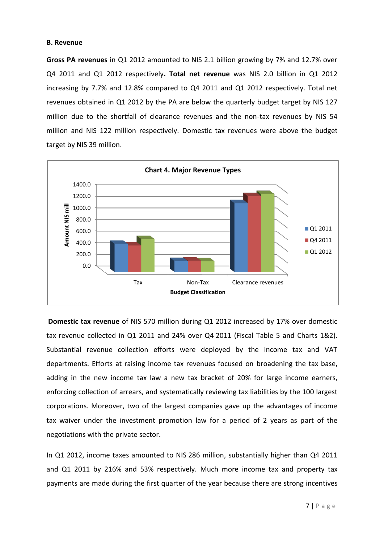#### **B. Revenue**

**Gross PA revenues** in Q1 2012 amounted to NIS 2.1 billion growing by 7% and 12.7% over Q4 2011 and Q1 2012 respectively**. Total net revenue** was NIS 2.0 billion in Q1 2012 increasing by 7.7% and 12.8% compared to Q4 2011 and Q1 2012 respectively. Total net revenues obtained in Q1 2012 by the PA are below the quarterly budget target by NIS 127 million due to the shortfall of clearance revenues and the non-tax revenues by NIS 54 million and NIS 122 million respectively. Domestic tax revenues were above the budget target by NIS 39 million.



**Domestic tax revenue** of NIS 570 million during Q1 2012 increased by 17% over domestic tax revenue collected in Q1 2011 and 24% over Q4 2011 (Fiscal Table 5 and Charts 1&2). Substantial revenue collection efforts were deployed by the income tax and VAT departments. Efforts at raising income tax revenues focused on broadening the tax base, adding in the new income tax law a new tax bracket of 20% for large income earners, enforcing collection of arrears, and systematically reviewing tax liabilities by the 100 largest corporations. Moreover, two of the largest companies gave up the advantages of income tax waiver under the investment promotion law for a period of 2 years as part of the negotiations with the private sector.

In Q1 2012, income taxes amounted to NIS 286 million, substantially higher than Q4 2011 and Q1 2011 by 216% and 53% respectively. Much more income tax and property tax payments are made during the first quarter of the year because there are strong incentives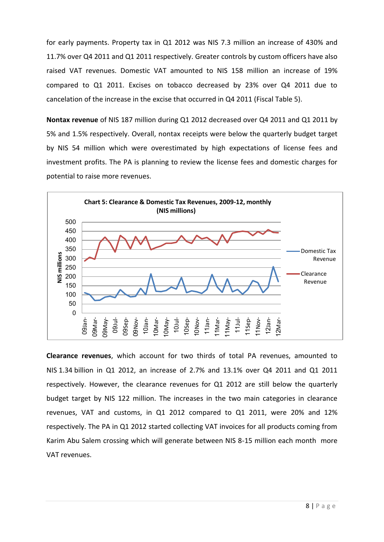for early payments. Property tax in Q1 2012 was NIS 7.3 million an increase of 430% and 11.7% over Q4 2011 and Q1 2011 respectively. Greater controls by custom officers have also raised VAT revenues. Domestic VAT amounted to NIS 158 million an increase of 19% compared to Q1 2011. Excises on tobacco decreased by 23% over Q4 2011 due to cancelation of the increase in the excise that occurred in Q4 2011 (Fiscal Table 5).

**Nontax revenue** of NIS 187 million during Q1 2012 decreased over Q4 2011 and Q1 2011 by 5% and 1.5% respectively. Overall, nontax receipts were below the quarterly budget target by NIS 54 million which were overestimated by high expectations of license fees and investment profits. The PA is planning to review the license fees and domestic charges for potential to raise more revenues.



**Clearance revenues**, which account for two thirds of total PA revenues, amounted to NIS 1.34 billion in Q1 2012, an increase of 2.7% and 13.1% over Q4 2011 and Q1 2011 respectively. However, the clearance revenues for Q1 2012 are still below the quarterly budget target by NIS 122 million. The increases in the two main categories in clearance revenues, VAT and customs, in Q1 2012 compared to Q1 2011, were 20% and 12% respectively. The PA in Q1 2012 started collecting VAT invoices for all products coming from Karim Abu Salem crossing which will generate between NIS 8-15 million each month more VAT revenues.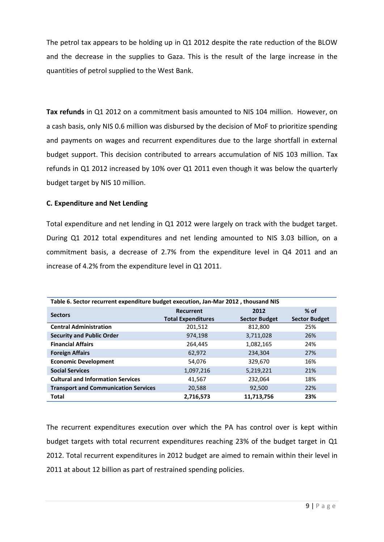The petrol tax appears to be holding up in Q1 2012 despite the rate reduction of the BLOW and the decrease in the supplies to Gaza. This is the result of the large increase in the quantities of petrol supplied to the West Bank.

**Tax refunds** in Q1 2012 on a commitment basis amounted to NIS 104 million. However, on a cash basis, only NIS 0.6 million was disbursed by the decision of MoF to prioritize spending and payments on wages and recurrent expenditures due to the large shortfall in external budget support. This decision contributed to arrears accumulation of NIS 103 million. Tax refunds in Q1 2012 increased by 10% over Q1 2011 even though it was below the quarterly budget target by NIS 10 million.

### **C. Expenditure and Net Lending**

Total expenditure and net lending in Q1 2012 were largely on track with the budget target. During Q1 2012 total expenditures and net lending amounted to NIS 3.03 billion, on a commitment basis, a decrease of 2.7% from the expenditure level in Q4 2011 and an increase of 4.2% from the expenditure level in Q1 2011.

| Table 6. Sector recurrent expenditure budget execution, Jan-Mar 2012, thousand NIS |                           |                      |                      |  |  |  |
|------------------------------------------------------------------------------------|---------------------------|----------------------|----------------------|--|--|--|
| <b>Sectors</b>                                                                     | Recurrent                 | 2012                 | $%$ of               |  |  |  |
|                                                                                    | <b>Total Expenditures</b> | <b>Sector Budget</b> | <b>Sector Budget</b> |  |  |  |
| <b>Central Administration</b>                                                      | 201,512                   | 812,800              | 25%                  |  |  |  |
| <b>Security and Public Order</b>                                                   | 974,198                   | 3,711,028            | 26%                  |  |  |  |
| <b>Financial Affairs</b>                                                           | 264,445                   | 1,082,165            | 24%                  |  |  |  |
| <b>Foreign Affairs</b>                                                             | 62,972                    | 234,304              | 27%                  |  |  |  |
| <b>Economic Development</b>                                                        | 54.076                    | 329,670              | 16%                  |  |  |  |
| <b>Social Services</b>                                                             | 1,097,216                 | 5,219,221            | 21%                  |  |  |  |
| <b>Cultural and Information Services</b>                                           | 41,567                    | 232,064              | 18%                  |  |  |  |
| <b>Transport and Communication Services</b>                                        | 20,588                    | 92,500               | 22%                  |  |  |  |
| <b>Total</b>                                                                       | 2,716,573                 | 11,713,756           | 23%                  |  |  |  |

The recurrent expenditures execution over which the PA has control over is kept within budget targets with total recurrent expenditures reaching 23% of the budget target in Q1 2012. Total recurrent expenditures in 2012 budget are aimed to remain within their level in 2011 at about 12 billion as part of restrained spending policies.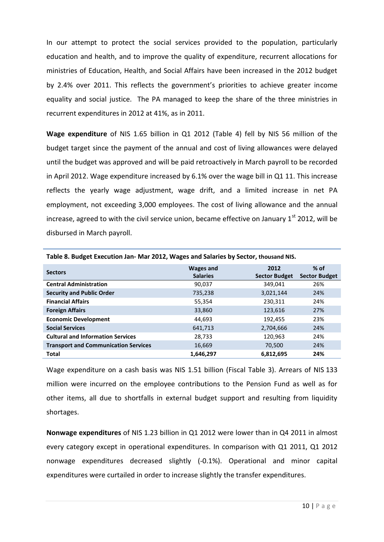In our attempt to protect the social services provided to the population, particularly education and health, and to improve the quality of expenditure, recurrent allocations for ministries of Education, Health, and Social Affairs have been increased in the 2012 budget by 2.4% over 2011. This reflects the government's priorities to achieve greater income equality and social justice. The PA managed to keep the share of the three ministries in recurrent expenditures in 2012 at 41%, as in 2011.

**Wage expenditure** of NIS 1.65 billion in Q1 2012 (Table 4) fell by NIS 56 million of the budget target since the payment of the annual and cost of living allowances were delayed until the budget was approved and will be paid retroactively in March payroll to be recorded in April 2012. Wage expenditure increased by 6.1% over the wage bill in Q1 11. This increase reflects the yearly wage adjustment, wage drift, and a limited increase in net PA employment, not exceeding 3,000 employees. The cost of living allowance and the annual increase, agreed to with the civil service union, became effective on January  $1<sup>st</sup>$  2012, will be disbursed in March payroll.

|                                             | <b>Wages and</b> | 2012                 | $%$ of               |
|---------------------------------------------|------------------|----------------------|----------------------|
| <b>Sectors</b>                              | <b>Salaries</b>  | <b>Sector Budget</b> | <b>Sector Budget</b> |
| <b>Central Administration</b>               | 90,037           | 349,041              | 26%                  |
| <b>Security and Public Order</b>            | 735,238          | 3,021,144            | 24%                  |
| <b>Financial Affairs</b>                    | 55,354           | 230,311              | 24%                  |
| <b>Foreign Affairs</b>                      | 33,860           | 123,616              | 27%                  |
| <b>Economic Development</b>                 | 44,693           | 192,455              | 23%                  |
| <b>Social Services</b>                      | 641,713          | 2,704,666            | 24%                  |
| <b>Cultural and Information Services</b>    | 28,733           | 120,963              | 24%                  |
| <b>Transport and Communication Services</b> | 16,669           | 70,500               | 24%                  |
| <b>Total</b>                                | 1.646.297        | 6,812,695            | 24%                  |

**Table 8. Budget Execution Jan- Mar 2012, Wages and Salaries by Sector, thousand NIS.**

Wage expenditure on a cash basis was NIS 1.51 billion (Fiscal Table 3). Arrears of NIS 133 million were incurred on the employee contributions to the Pension Fund as well as for other items, all due to shortfalls in external budget support and resulting from liquidity shortages.

**Nonwage expenditures** of NIS 1.23 billion in Q1 2012 were lower than in Q4 2011 in almost every category except in operational expenditures. In comparison with Q1 2011, Q1 2012 nonwage expenditures decreased slightly (-0.1%). Operational and minor capital expenditures were curtailed in order to increase slightly the transfer expenditures.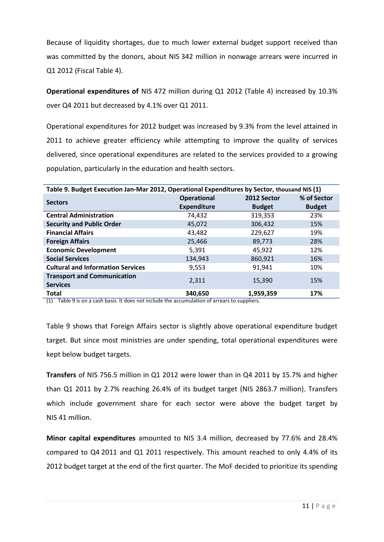Because of liquidity shortages, due to much lower external budget support received than was committed by the donors, about NIS 342 million in nonwage arrears were incurred in Q1 2012 (Fiscal Table 4).

**Operational expenditures of** NIS 472 million during Q1 2012 (Table 4) increased by 10.3% over Q4 2011 but decreased by 4.1% over Q1 2011.

Operational expenditures for 2012 budget was increased by 9.3% from the level attained in 2011 to achieve greater efficiency while attempting to improve the quality of services delivered, since operational expenditures are related to the services provided to a growing population, particularly in the education and health sectors.

| Table 9. Budget Execution Jan-Mar 2012, Operational Expenditures by Sector, thousand NIS (1) |                    |               |               |  |  |  |
|----------------------------------------------------------------------------------------------|--------------------|---------------|---------------|--|--|--|
| <b>Sectors</b>                                                                               | <b>Operational</b> | 2012 Sector   | % of Sector   |  |  |  |
|                                                                                              | <b>Expenditure</b> | <b>Budget</b> | <b>Budget</b> |  |  |  |
| <b>Central Administration</b>                                                                | 74,432             | 319,353       | 23%           |  |  |  |
| <b>Security and Public Order</b>                                                             | 45,072             | 306,432       | 15%           |  |  |  |
| <b>Financial Affairs</b>                                                                     | 43,482             | 229,627       | 19%           |  |  |  |
| <b>Foreign Affairs</b>                                                                       | 25,466             | 89,773        | 28%           |  |  |  |
| <b>Economic Development</b>                                                                  | 5,391              | 45,922        | 12%           |  |  |  |
| <b>Social Services</b>                                                                       | 134,943            | 860,921       | 16%           |  |  |  |
| <b>Cultural and Information Services</b>                                                     | 9,553              | 91,941        | 10%           |  |  |  |
| <b>Transport and Communication</b>                                                           | 2.311              | 15,390        | 15%           |  |  |  |
| <b>Services</b>                                                                              |                    |               |               |  |  |  |
| <b>Total</b>                                                                                 | 340,650            | 1,959,359     | 17%           |  |  |  |

 $(1)$  Table 9 is on a cash basis. It does not include the accumulation of arrears to suppliers.

Table 9 shows that Foreign Affairs sector is slightly above operational expenditure budget target. But since most ministries are under spending, total operational expenditures were kept below budget targets.

**Transfers** of NIS 756.5 million in Q1 2012 were lower than in Q4 2011 by 15.7% and higher than Q1 2011 by 2.7% reaching 26.4% of its budget target (NIS 2863.7 million). Transfers which include government share for each sector were above the budget target by NIS 41 million.

**Minor capital expenditures** amounted to NIS 3.4 million, decreased by 77.6% and 28.4% compared to Q4 2011 and Q1 2011 respectively. This amount reached to only 4.4% of its 2012 budget target at the end of the first quarter. The MoF decided to prioritize its spending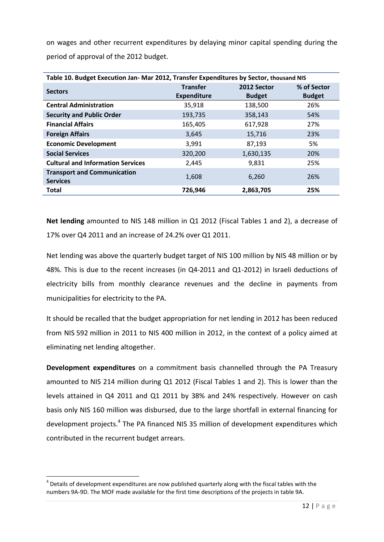on wages and other recurrent expenditures by delaying minor capital spending during the period of approval of the 2012 budget.

| Table 10. Budget Execution Jan- Mar 2012, Transfer Expenditures by Sector, thousand NIS |                    |               |               |  |  |  |
|-----------------------------------------------------------------------------------------|--------------------|---------------|---------------|--|--|--|
| <b>Sectors</b>                                                                          | <b>Transfer</b>    | 2012 Sector   | % of Sector   |  |  |  |
|                                                                                         | <b>Expenditure</b> | <b>Budget</b> | <b>Budget</b> |  |  |  |
| <b>Central Administration</b>                                                           | 35,918             | 138,500       | 26%           |  |  |  |
| <b>Security and Public Order</b>                                                        | 193,735            | 358,143       | 54%           |  |  |  |
| <b>Financial Affairs</b>                                                                | 165,405            | 617,928       | 27%           |  |  |  |
| <b>Foreign Affairs</b>                                                                  | 3,645              | 15,716        | 23%           |  |  |  |
| <b>Economic Development</b>                                                             | 3,991              | 87,193        | 5%            |  |  |  |
| <b>Social Services</b>                                                                  | 320,200            | 1,630,135     | 20%           |  |  |  |
| <b>Cultural and Information Services</b>                                                | 2,445              | 9,831         | 25%           |  |  |  |
| <b>Transport and Communication</b>                                                      | 1,608              | 6,260         | 26%           |  |  |  |
| <b>Services</b>                                                                         |                    |               |               |  |  |  |
| <b>Total</b>                                                                            | 726,946            | 2,863,705     | 25%           |  |  |  |

**Net lending** amounted to NIS 148 million in Q1 2012 (Fiscal Tables 1 and 2), a decrease of 17% over Q4 2011 and an increase of 24.2% over Q1 2011.

Net lending was above the quarterly budget target of NIS 100 million by NIS 48 million or by 48%. This is due to the recent increases (in Q4-2011 and Q1-2012) in Israeli deductions of electricity bills from monthly clearance revenues and the decline in payments from municipalities for electricity to the PA.

It should be recalled that the budget appropriation for net lending in 2012 has been reduced from NIS 592 million in 2011 to NIS 400 million in 2012, in the context of a policy aimed at eliminating net lending altogether.

**Development expenditures** on a commitment basis channelled through the PA Treasury amounted to NIS 214 million during Q1 2012 (Fiscal Tables 1 and 2). This is lower than the levels attained in Q4 2011 and Q1 2011 by 38% and 24% respectively. However on cash basis only NIS 160 million was disbursed, due to the large shortfall in external financing for development projects.<sup>4</sup> The PA financed NIS 35 million of development expenditures which contributed in the recurrent budget arrears.

 $\overline{a}$ 

 $<sup>4</sup>$  Details of development expenditures are now published quarterly along with the fiscal tables with the</sup> numbers 9A-9D. The MOF made available for the first time descriptions of the projects in table 9A.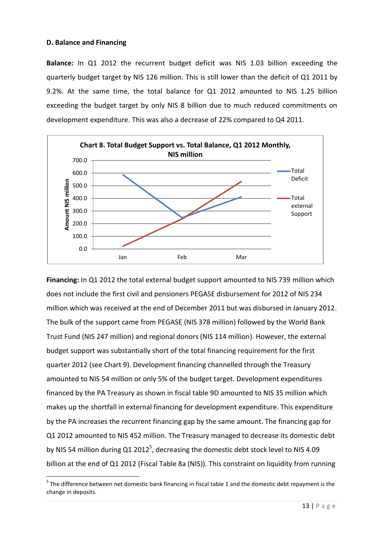#### **D. Balance and Financing**

 $\overline{a}$ 

**Balance:** In Q1 2012 the recurrent budget deficit was NIS 1.03 billion exceeding the quarterly budget target by NIS 126 million. This is still lower than the deficit of Q1 2011 by 9.2%. At the same time, the total balance for Q1 2012 amounted to NIS 1.25 billion exceeding the budget target by only NIS 8 billion due to much reduced commitments on development expenditure. This was also a decrease of 22% compared to Q4 2011.



**Financing:** In Q1 2012 the total external budget support amounted to NIS 739 million which does not include the first civil and pensioners PEGASE disbursement for 2012 of NIS 234 million which was received at the end of December 2011 but was disbursed in January 2012. The bulk of the support came from PEGASE (NIS 378 million) followed by the World Bank Trust Fund (NIS 247 million) and regional donors (NIS 114 million). However, the external budget support was substantially short of the total financing requirement for the first quarter 2012 (see Chart 9). Development financing channelled through the Treasury amounted to NIS 54 million or only 5% of the budget target. Development expenditures financed by the PA Treasury as shown in fiscal table 9D amounted to NIS 35 million which makes up the shortfall in external financing for development expenditure. This expenditure by the PA increases the recurrent financing gap by the same amount. The financing gap for Q1 2012 amounted to NIS 452 million. The Treasury managed to decrease its domestic debt by NIS 54 million during Q1 2012<sup>5</sup>, decreasing the domestic debt stock level to NIS 4.09 billion at the end of Q1 2012 (Fiscal Table 8a (NIS)). This constraint on liquidity from running

<sup>&</sup>lt;sup>5</sup> The difference between net domestic bank financing in fiscal table 1 and the domestic debt repayment is the change in deposits.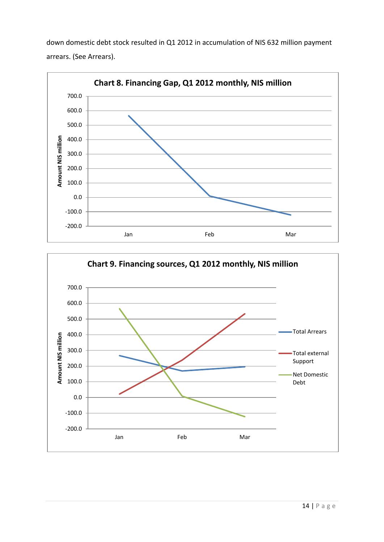down domestic debt stock resulted in Q1 2012 in accumulation of NIS 632 million payment arrears. (See Arrears).